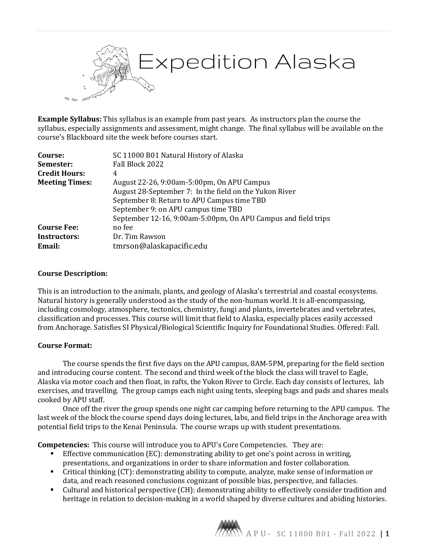

**Example Syllabus:** This syllabus is an example from past years. As instructors plan the course the syllabus, especially assignments and assessment, might change. The final syllabus will be available on the course's Blackboard site the week before courses start.

| Course:               | SC 11000 B01 Natural History of Alaska                        |
|-----------------------|---------------------------------------------------------------|
| Semester:             | Fall Block 2022                                               |
| <b>Credit Hours:</b>  | 4                                                             |
| <b>Meeting Times:</b> | August 22-26, 9:00am-5:00pm, On APU Campus                    |
|                       | August 28-September 7: In the field on the Yukon River        |
|                       | September 8: Return to APU Campus time TBD                    |
|                       | September 9: on APU campus time TBD                           |
|                       | September 12-16, 9:00am-5:00pm, On APU Campus and field trips |
| <b>Course Fee:</b>    | no fee                                                        |
| <b>Instructors:</b>   | Dr. Tim Rawson                                                |
| Email:                | tmrson@alaskapacific.edu                                      |

#### **Course Description:**

This is an introduction to the animals, plants, and geology of Alaska's terrestrial and coastal ecosystems. Natural history is generally understood as the study of the non-human world. It is all-encompassing, including cosmology, atmosphere, tectonics, chemistry, fungi and plants, invertebrates and vertebrates, classification and processes. This course will limit that field to Alaska, especially places easily accessed from Anchorage. Satisfies SI Physical/Biological Scientific Inquiry for Foundational Studies. Offered: Fall.

### **Course Format:**

The course spends the first five days on the APU campus, 8AM-5PM, preparing for the field section and introducing course content. The second and third week of the block the class will travel to Eagle, Alaska via motor coach and then float, in rafts, the Yukon River to Circle. Each day consists of lectures, lab exercises, and travelling. The group camps each night using tents, sleeping bags and pads and shares meals cooked by APU staff.

Once off the river the group spends one night car camping before returning to the APU campus. The last week of the block the course spend days doing lectures, labs, and field trips in the Anchorage area with potential field trips to the Kenai Peninsula. The course wraps up with student presentations.

**Competencies:** This course will introduce you to APU's Core Competencies. They are:

- Effective communication (EC): demonstrating ability to get one's point across in writing, presentations, and organizations in order to share information and foster collaboration.
- Critical thinking (CT): demonstrating ability to compute, analyze, make sense of information or data, and reach reasoned conclusions cognizant of possible bias, perspective, and fallacies.
- Cultural and historical perspective (CH): demonstrating ability to effectively consider tradition and heritage in relation to decision-making in a world shaped by diverse cultures and abiding histories.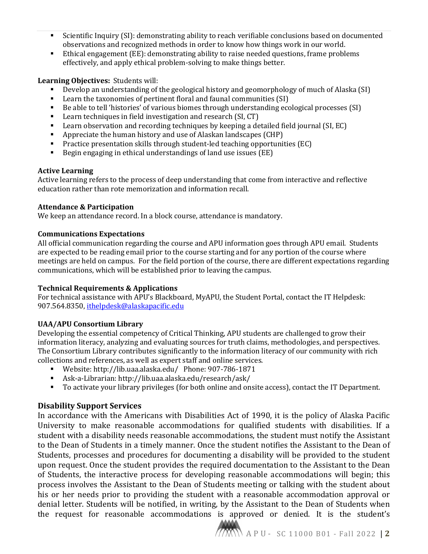- Scientific Inquiry (SI): demonstrating ability to reach verifiable conclusions based on documented observations and recognized methods in order to know how things work in our world.
- Ethical engagement (EE): demonstrating ability to raise needed questions, frame problems effectively, and apply ethical problem-solving to make things better.

# **Learning Objectives:** Students will:

- Develop an understanding of the geological history and geomorphology of much of Alaska (SI)<br>Learn the taxonomies of pertinent floral and faunal communities (SI)
- Learn the taxonomies of pertinent floral and faunal communities (SI)<br>■ Be able to tell 'histories' of various biomes through understanding ecc
- Be able to tell 'histories' of various biomes through understanding ecological processes (SI)<br>Learn techniques in field investigation and research (SL CT)
- Learn techniques in field investigation and research (SI, CT)
- Learn observation and recording techniques by keeping a detailed field journal (SI, EC)<br>Appreciate the buman bistory and use of Alaskan landscapes (CHP)
- Appreciate the human history and use of Alaskan landscapes (CHP)
- Practice presentation skills through student-led teaching opportunities (EC)<br>Pegin engaging in ethical understandings of land use issues (EE)
- Begin engaging in ethical understandings of land use issues (EE)

# **Active Learning**

Active learning refers to the process of deep understanding that come from interactive and reflective education rather than rote memorization and information recall.

### **Attendance & Participation**

We keep an attendance record. In a block course, attendance is mandatory.

# **Communications Expectations**

All official communication regarding the course and APU information goes through APU email. Students are expected to be reading email prior to the course starting and for any portion of the course where meetings are held on campus. For the field portion of the course, there are different expectations regarding communications, which will be established prior to leaving the campus.

### **Technical Requirements & Applications**

For technical assistance with APU's Blackboard, MyAPU, the Student Portal, contact the IT Helpdesk: 907.564.8350, [ithelpdesk@alaskapacific.edu](mailto:ithelpdesk@alaskapacific.edu)

### **UAA/APU Consortium Library**

Developing the essential competency of Critical Thinking, APU students are challenged to grow their information literacy, analyzing and evaluating sources for truth claims, methodologies, and perspectives. The Consortium Library contributes significantly to the information literacy of our community with rich collections and references, as well as expert staff and online services.

- Website: http://lib.uaa.alaska.edu/ Phone: 907-786-1871
- Ask-a-Librarian: http://lib.uaa.alaska.edu/research/ask/
- To activate your library privileges (for both online and onsite access), contact the IT Department.

# **Disability Support Services**

In accordance with the Americans with Disabilities Act of 1990, it is the policy of Alaska Pacific University to make reasonable accommodations for qualified students with disabilities. If a student with a disability needs reasonable accommodations, the student must notify the Assistant to the Dean of Students in a timely manner. Once the student notifies the Assistant to the Dean of Students, processes and procedures for documenting a disability will be provided to the student upon request. Once the student provides the required documentation to the Assistant to the Dean of Students, the interactive process for developing reasonable accommodations will begin; this process involves the Assistant to the Dean of Students meeting or talking with the student about his or her needs prior to providing the student with a reasonable accommodation approval or denial letter. Students will be notified, in writing, by the Assistant to the Dean of Students when the request for reasonable accommodations is approved or denied. It is the student's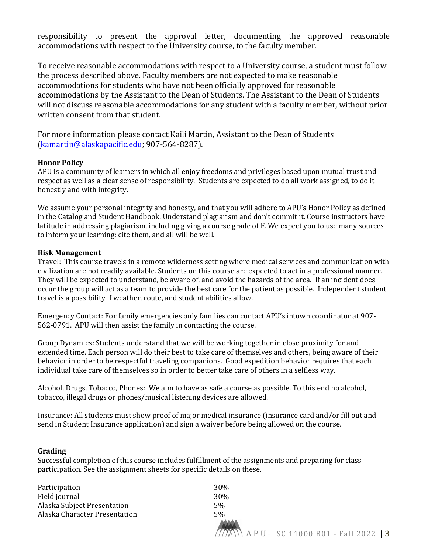responsibility to present the approval letter, documenting the approved reasonable accommodations with respect to the University course, to the faculty member.

To receive reasonable accommodations with respect to a University course, a student must follow the process described above. Faculty members are not expected to make reasonable accommodations for students who have not been officially approved for reasonable accommodations by the Assistant to the Dean of Students. The Assistant to the Dean of Students will not discuss reasonable accommodations for any student with a faculty member, without prior written consent from that student.

For more information please contact Kaili Martin, Assistant to the Dean of Students [\(kamartin@alaskapacific.edu;](mailto:kamartin@alaskapacific.edu) 907-564-8287).

#### **Honor Policy**

APU is a community of learners in which all enjoy freedoms and privileges based upon mutual trust and respect as well as a clear sense of responsibility. Students are expected to do all work assigned, to do it honestly and with integrity.

We assume your personal integrity and honesty, and that you will adhere to APU's Honor Policy as defined in the Catalog and Student Handbook. Understand plagiarism and don't commit it. Course instructors have latitude in addressing plagiarism, including giving a course grade of F. We expect you to use many sources to inform your learning; cite them, and all will be well.

#### **Risk Management**

Travel: This course travels in a remote wilderness setting where medical services and communication with civilization are not readily available. Students on this course are expected to act in a professional manner. They will be expected to understand, be aware of, and avoid the hazards of the area. If an incident does occur the group will act as a team to provide the best care for the patient as possible. Independent student travel is a possibility if weather, route, and student abilities allow.

Emergency Contact: For family emergencies only families can contact APU's intown coordinator at 907- 562-0791. APU will then assist the family in contacting the course.

Group Dynamics: Students understand that we will be working together in close proximity for and extended time. Each person will do their best to take care of themselves and others, being aware of their behavior in order to be respectful traveling companions. Good expedition behavior requires that each individual take care of themselves so in order to better take care of others in a selfless way.

Alcohol, Drugs, Tobacco, Phones: We aim to have as safe a course as possible. To this end no alcohol, tobacco, illegal drugs or phones/musical listening devices are allowed.

Insurance: All students must show proof of major medical insurance (insurance card and/or fill out and send in Student Insurance application) and sign a waiver before being allowed on the course.

#### **Grading**

Successful completion of this course includes fulfillment of the assignments and preparing for class participation. See the assignment sheets for specific details on these.

| Participation                 | 30%                                  |
|-------------------------------|--------------------------------------|
| Field journal                 | 30%                                  |
| Alaska Subject Presentation   | 5%                                   |
| Alaska Character Presentation | 5%                                   |
|                               | N A P U - SC 11000 B01 - Fall 2022 3 |